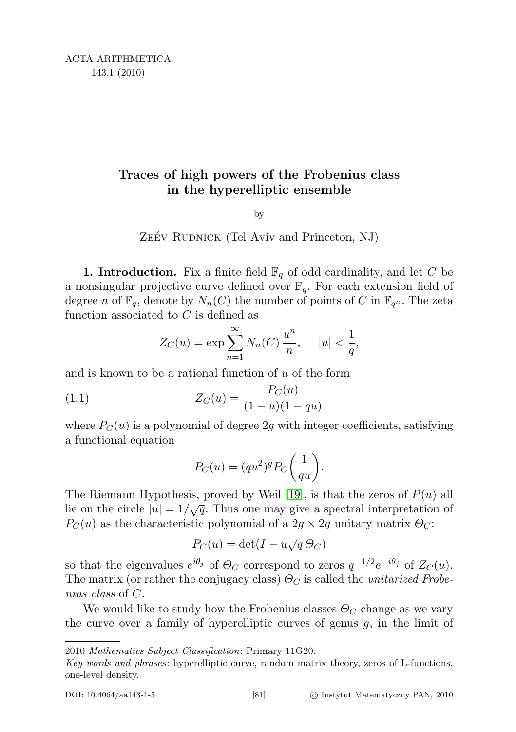# Traces of high powers of the Frobenius class in the hyperelliptic ensemble

by

### ZEÉV RUDNICK (Tel Aviv and Princeton, NJ)

**1. Introduction.** Fix a finite field  $\mathbb{F}_q$  of odd cardinality, and let C be a nonsingular projective curve defined over  $\mathbb{F}_q$ . For each extension field of degree n of  $\mathbb{F}_q$ , denote by  $N_n(C)$  the number of points of C in  $\mathbb{F}_{q^n}$ . The zeta function associated to C is defined as

$$
Z_C(u) = \exp \sum_{n=1}^{\infty} N_n(C) \frac{u^n}{n}, \quad |u| < \frac{1}{q},
$$

and is known to be a rational function of  $u$  of the form

(1.1) 
$$
Z_C(u) = \frac{P_C(u)}{(1 - u)(1 - qu)}
$$

where  $P_C(u)$  is a polynomial of degree 2g with integer coefficients, satisfying a functional equation

<span id="page-0-0"></span>
$$
P_C(u) = (qu^2)^g P_C\bigg(\frac{1}{qu}\bigg).
$$

The Riemann Hypothesis, proved by Weil [\[19\]](#page-18-0), is that the zeros of  $P(u)$  all lie on the circle  $|u| = 1/\sqrt{q}$ . Thus one may give a spectral interpretation of  $P_C(u)$  as the characteristic polynomial of a  $2g \times 2g$  unitary matrix  $\Theta_C$ :

$$
P_C(u) = \det(I - u\sqrt{q}\,\Theta_C)
$$

so that the eigenvalues  $e^{i\theta_j}$  of  $\Theta_C$  correspond to zeros  $q^{-1/2}e^{-i\theta_j}$  of  $Z_C(u)$ . The matrix (or rather the conjugacy class)  $\Theta_C$  is called the *unitarized Frobe*nius class of C.

We would like to study how the Frobenius classes  $\Theta_C$  change as we vary the curve over a family of hyperelliptic curves of genus  $g$ , in the limit of

2010 Mathematics Subject Classification: Primary 11G20.

Key words and phrases: hyperelliptic curve, random matrix theory, zeros of L-functions, one-level density.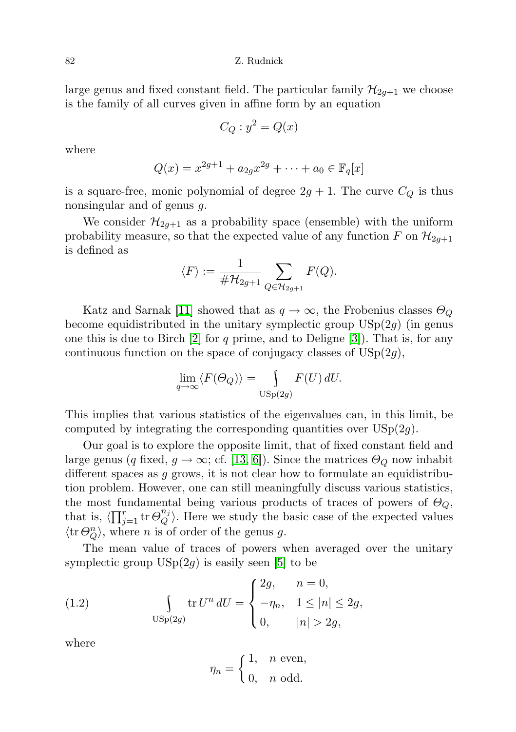large genus and fixed constant field. The particular family  $\mathcal{H}_{2g+1}$  we choose is the family of all curves given in affine form by an equation

$$
C_Q: y^2 = Q(x)
$$

where

$$
Q(x) = x^{2g+1} + a_{2g}x^{2g} + \dots + a_0 \in \mathbb{F}_q[x]
$$

is a square-free, monic polynomial of degree  $2g + 1$ . The curve  $C_Q$  is thus nonsingular and of genus g.

We consider  $\mathcal{H}_{2q+1}$  as a probability space (ensemble) with the uniform probability measure, so that the expected value of any function F on  $\mathcal{H}_{2g+1}$ is defined as

$$
\langle F \rangle := \frac{1}{\# \mathcal{H}_{2g+1}} \sum_{Q \in \mathcal{H}_{2g+1}} F(Q).
$$

Katz and Sarnak [\[11\]](#page-17-0) showed that as  $q \to \infty$ , the Frobenius classes  $\Theta_Q$ become equidistributed in the unitary symplectic group  $\mathrm{USp}(2g)$  (in genus one this is due to Birch  $[2]$  for q prime, and to Deligne  $[3]$ ). That is, for any continuous function on the space of conjugacy classes of  $USp(2g)$ ,

$$
\lim_{q \to \infty} \langle F(\Theta_Q) \rangle = \int_{\text{USp}(2g)} F(U) \, dU.
$$

This implies that various statistics of the eigenvalues can, in this limit, be computed by integrating the corresponding quantities over  $USp(2q)$ .

Our goal is to explore the opposite limit, that of fixed constant field and large genus (q fixed,  $g \to \infty$ ; cf. [\[13,](#page-17-3) [6\]](#page-17-4)). Since the matrices  $\Theta_{\mathcal{Q}}$  now inhabit different spaces as g grows, it is not clear how to formulate an equidistribution problem. However, one can still meaningfully discuss various statistics, the most fundamental being various products of traces of powers of  $\Theta_{Q}$ , that is,  $\langle \prod_{j=1}^r \text{tr } \Theta_Q^{n_j} \rangle$  $\binom{n_j}{Q}$ . Here we study the basic case of the expected values  $\langle \text{tr } \Theta_{Q}^{n} \rangle$ , where *n* is of order of the genus *g*.

The mean value of traces of powers when averaged over the unitary symplectic group  $USp(2g)$  is easily seen [\[5\]](#page-17-5) to be

(1.2) 
$$
\int_{\text{USp}(2g)} \text{tr } U^n dU = \begin{cases} 2g, & n = 0, \\ -\eta_n, & 1 \le |n| \le 2g, \\ 0, & |n| > 2g, \end{cases}
$$

where

<span id="page-1-0"></span>
$$
\eta_n = \begin{cases} 1, & n \text{ even,} \\ 0, & n \text{ odd.} \end{cases}
$$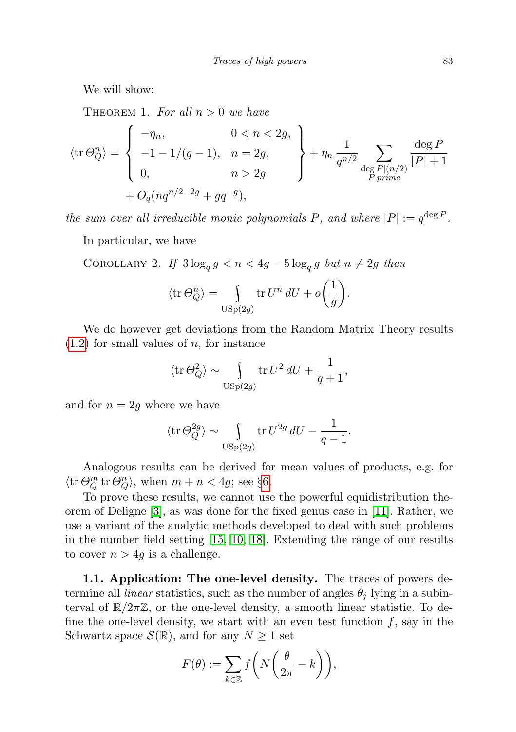<span id="page-2-0"></span>We will show:

THEOREM 1. For all  $n > 0$  we have

$$
\langle \text{tr } \Theta_Q^n \rangle = \begin{cases}\n-\eta_n, & 0 < n < 2g, \\
-1 - 1/(q - 1), & n = 2g, \\
0, & n > 2g\n\end{cases} + \eta_n \frac{1}{q^{n/2}} \sum_{\substack{\text{deg } P | (n/2) \\ P \text{ prime}}} \frac{\deg P}{|P| + 1}
$$

the sum over all irreducible monic polynomials P, and where  $|P| := q^{\deg P}$ .

In particular, we have

COROLLARY 2. If  $3\log_q g < n < 4g - 5\log_q g$  but  $n \neq 2g$  then

$$
\langle \operatorname{tr} \Theta_Q^n \rangle = \int_{\operatorname{USp}(2g)} \operatorname{tr} U^n dU + o\left(\frac{1}{g}\right).
$$

We do however get deviations from the Random Matrix Theory results  $(1.2)$  for small values of n, for instance

$$
\langle \operatorname{tr} \Theta_Q^2 \rangle \sim \int_{\operatorname{USp}(2g)} \operatorname{tr} U^2 dU + \frac{1}{q+1},
$$

and for  $n = 2g$  where we have

$$
\langle \operatorname{tr} \Theta_Q^{2g} \rangle \sim \int_{\operatorname{USp}(2g)} \operatorname{tr} U^{2g} dU - \frac{1}{q-1}.
$$

Analogous results can be derived for mean values of products, e.g. for  $\langle \text{tr} \,\Theta_Q^m \, \text{tr} \,\Theta_Q^n \rangle$ , when  $m + n < 4g$ ; see §[6.](#page-16-0)

To prove these results, we cannot use the powerful equidistribution theorem of Deligne [\[3\]](#page-17-2), as was done for the fixed genus case in [\[11\]](#page-17-0). Rather, we use a variant of the analytic methods developed to deal with such problems in the number field setting [\[15,](#page-18-1) [10,](#page-17-6) [18\]](#page-18-2). Extending the range of our results to cover  $n > 4g$  is a challenge.

1.1. Application: The one-level density. The traces of powers determine all *linear* statistics, such as the number of angles  $\theta_i$  lying in a subinterval of  $\mathbb{R}/2\pi\mathbb{Z}$ , or the one-level density, a smooth linear statistic. To define the one-level density, we start with an even test function  $f$ , say in the Schwartz space  $\mathcal{S}(\mathbb{R})$ , and for any  $N \geq 1$  set

$$
F(\theta) := \sum_{k \in \mathbb{Z}} f\left(N\left(\frac{\theta}{2\pi} - k\right)\right),\,
$$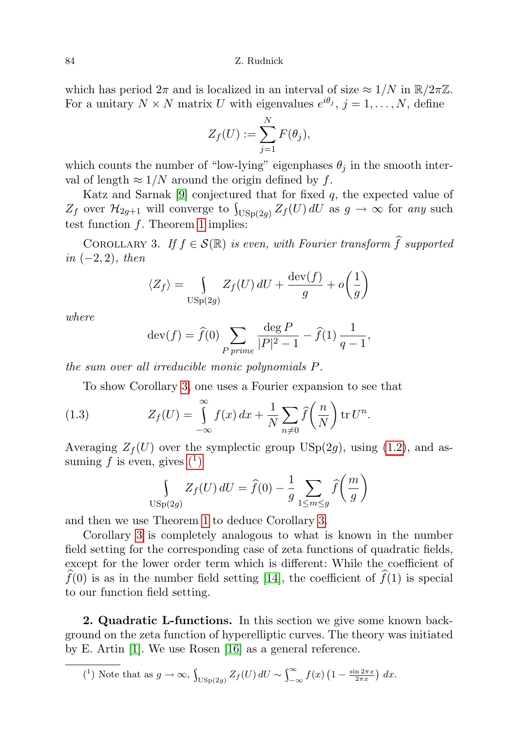which has period  $2\pi$  and is localized in an interval of size  $\approx 1/N$  in  $\mathbb{R}/2\pi\mathbb{Z}$ . For a unitary  $N \times N$  matrix U with eigenvalues  $e^{i\theta_j}$ ,  $j = 1, ..., N$ , define

$$
Z_f(U) := \sum_{j=1}^N F(\theta_j),
$$

which counts the number of "low-lying" eigenphases  $\theta_i$  in the smooth interval of length  $\approx 1/N$  around the origin defined by f.

Katz and Sarnak  $[9]$  conjectured that for fixed  $q$ , the expected value of  $Z_f$  over  $\mathcal{H}_{2g+1}$  will converge to  $\int_{\text{USp}(2g)} Z_f(U) dU$  as  $g \to \infty$  for any such test function  $f$ . Theorem [1](#page-2-0) implies:

<span id="page-3-0"></span>COROLLARY 3. If  $f \in \mathcal{S}(\mathbb{R})$  is even, with Fourier transform  $\widehat{f}$  supported in  $(-2, 2)$ , then

$$
\langle Z_f \rangle = \int_{\text{USp}(2g)} Z_f(U) \, dU + \frac{\text{dev}(f)}{g} + o\left(\frac{1}{g}\right)
$$

where

$$
dev(f) = \hat{f}(0) \sum_{P \text{ prime}} \frac{deg P}{|P|^2 - 1} - \hat{f}(1) \frac{1}{q - 1},
$$

the sum over all irreducible monic polynomials P.

To show Corollary [3,](#page-3-0) one uses a Fourier expansion to see that

(1.3) 
$$
Z_f(U) = \int_{-\infty}^{\infty} f(x) dx + \frac{1}{N} \sum_{n \neq 0} \widehat{f}\left(\frac{n}{N}\right) \text{tr } U^n.
$$

Averaging  $Z_f(U)$  over the symplectic group USp(2g), using [\(1.2\)](#page-1-0), and assuming f is even, gives  $(1)$ 

$$
\int_{\text{USp}(2g)} Z_f(U) dU = \hat{f}(0) - \frac{1}{g} \sum_{1 \le m \le g} \hat{f}\left(\frac{m}{g}\right)
$$

and then we use Theorem [1](#page-2-0) to deduce Corollary [3.](#page-3-0)

Corollary [3](#page-3-0) is completely analogous to what is known in the number field setting for the corresponding case of zeta functions of quadratic fields, except for the lower order term which is different: While the coefficient of  $f(0)$  is as in the number field setting [\[14\]](#page-17-8), the coefficient of  $\widehat{f}(1)$  is special to our function field setting.

2. Quadratic L-functions. In this section we give some known background on the zeta function of hyperelliptic curves. The theory was initiated by E. Artin [\[1\]](#page-17-9). We use Rosen [\[16\]](#page-18-3) as a general reference.

<span id="page-3-1"></span>
$$
(^{1})\text{ Note that as }g\to\infty,\int_{\text{USp}(2g)}Z_{f}(U)\,dU\sim\int_{-\infty}^{\infty}f(x)\left(1-\frac{\sin2\pi x}{2\pi x}\right)\,dx.
$$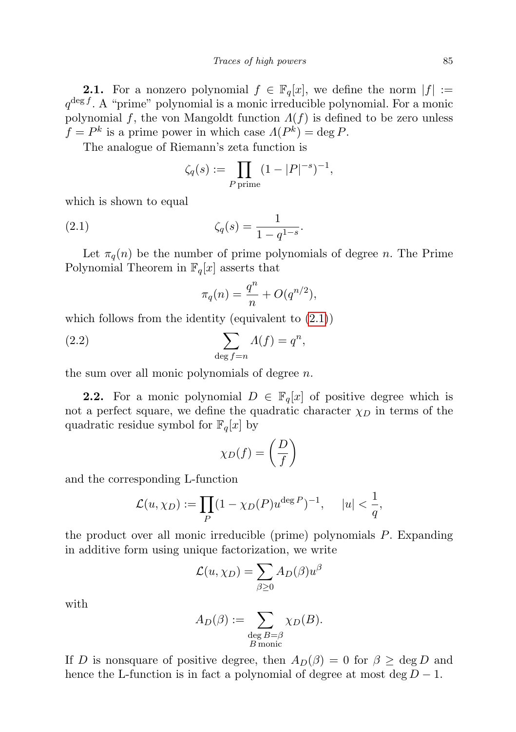**2.1.** For a nonzero polynomial  $f \in \mathbb{F}_q[x]$ , we define the norm  $|f| :=$  $q^{\deg f}$ . A "prime" polynomial is a monic irreducible polynomial. For a monic polynomial f, the von Mangoldt function  $\Lambda(f)$  is defined to be zero unless  $f = P^k$  is a prime power in which case  $\Lambda(P^k) = \deg P$ .

The analogue of Riemann's zeta function is

<span id="page-4-0"></span>
$$
\zeta_q(s) := \prod_{P \text{ prime}} (1 - |P|^{-s})^{-1},
$$

which is shown to equal

(2.1) 
$$
\zeta_q(s) = \frac{1}{1 - q^{1 - s}}.
$$

Let  $\pi_q(n)$  be the number of prime polynomials of degree n. The Prime Polynomial Theorem in  $\mathbb{F}_q[x]$  asserts that

<span id="page-4-1"></span>
$$
\pi_q(n) = \frac{q^n}{n} + O(q^{n/2}),
$$

which follows from the identity (equivalent to  $(2.1)$ )

(2.2) 
$$
\sum_{\deg f = n} \Lambda(f) = q^n,
$$

the sum over all monic polynomials of degree n.

**2.2.** For a monic polynomial  $D \in \mathbb{F}_q[x]$  of positive degree which is not a perfect square, we define the quadratic character  $\chi_D$  in terms of the quadratic residue symbol for  $\mathbb{F}_q[x]$  by

$$
\chi_D(f) = \left(\frac{D}{f}\right)
$$

and the corresponding L-function

$$
\mathcal{L}(u,\chi_D) := \prod_P (1 - \chi_D(P) u^{\deg P})^{-1}, \quad |u| < \frac{1}{q},
$$

the product over all monic irreducible (prime) polynomials P. Expanding in additive form using unique factorization, we write

$$
\mathcal{L}(u,\chi_D)=\sum_{\beta\geq 0}A_D(\beta)u^\beta
$$

with

$$
A_D(\beta) := \sum_{\substack{\deg B = \beta \\ B \text{ monic}}} \chi_D(B).
$$

If D is nonsquare of positive degree, then  $A_D(\beta) = 0$  for  $\beta \ge \text{deg } D$  and hence the L-function is in fact a polynomial of degree at most deg  $D-1$ .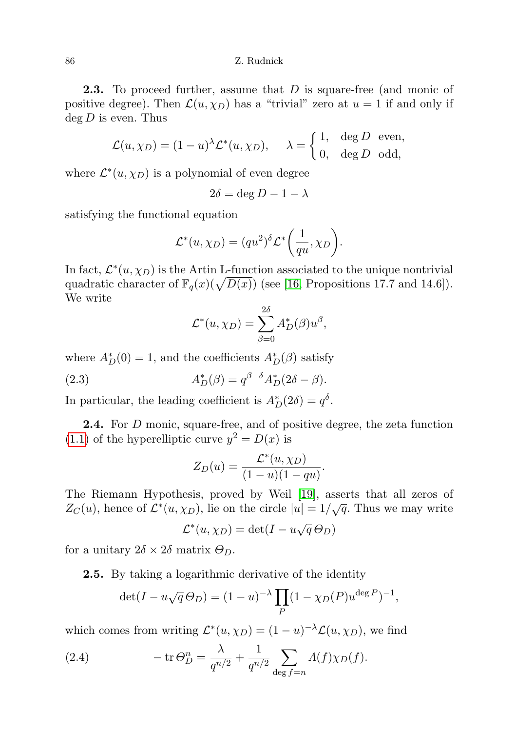**2.3.** To proceed further, assume that D is square-free (and monic of positive degree). Then  $\mathcal{L}(u, \chi_D)$  has a "trivial" zero at  $u = 1$  if and only if  $\deg D$  is even. Thus

$$
\mathcal{L}(u, \chi_D) = (1 - u)^{\lambda} \mathcal{L}^*(u, \chi_D), \quad \lambda = \begin{cases} 1, & \text{deg } D \text{ even,} \\ 0, & \text{deg } D \text{ odd,} \end{cases}
$$

where  $\mathcal{L}^*(u, \chi_D)$  is a polynomial of even degree

$$
2\delta = \deg D - 1 - \lambda
$$

satisfying the functional equation

$$
\mathcal{L}^*(u,\chi_D) = (qu^2)^\delta \mathcal{L}^*\bigg(\frac{1}{qu},\chi_D\bigg).
$$

In fact,  $\mathcal{L}^*(u, \chi_D)$  is the Artin L-function associated to the unique nontrivial quadratic character of  $\mathbb{F}_q(x)(\sqrt{D(x)})$  (see [\[16,](#page-18-3) Propositions 17.7 and 14.6]). We write

<span id="page-5-1"></span>
$$
\mathcal{L}^*(u,\chi_D)=\sum_{\beta=0}^{2\delta}A_D^*(\beta)u^{\beta},
$$

where  $A_D^*(0) = 1$ , and the coefficients  $A_D^*(\beta)$  satisfy

(2.3) 
$$
A_D^*(\beta) = q^{\beta - \delta} A_D^*(2\delta - \beta).
$$

In particular, the leading coefficient is  $A_D^*(2\delta) = q^{\delta}$ .

2.4. For D monic, square-free, and of positive degree, the zeta function [\(1.1\)](#page-0-0) of the hyperelliptic curve  $y^2 = D(x)$  is

$$
Z_D(u) = \frac{\mathcal{L}^*(u, \chi_D)}{(1-u)(1-qu)}.
$$

The Riemann Hypothesis, proved by Weil [\[19\]](#page-18-0), asserts that all zeros of  $Z_C(u)$ , hence of  $\mathcal{L}^*(u, \chi_D)$ , lie on the circle  $|u| = 1/\sqrt{q}$ . Thus we may write

$$
\mathcal{L}^*(u, \chi_D) = \det(I - u\sqrt{q}\,\Theta_D)
$$

for a unitary  $2\delta \times 2\delta$  matrix  $\Theta_D$ .

2.5. By taking a logarithmic derivative of the identity

<span id="page-5-0"></span>
$$
\det(I - u\sqrt{q}\,\Theta_D) = (1 - u)^{-\lambda} \prod_P (1 - \chi_D(P)u^{\deg P})^{-1},
$$

which comes from writing  $\mathcal{L}^*(u, \chi_D) = (1 - u)^{-\lambda} \mathcal{L}(u, \chi_D)$ , we find

(2.4) 
$$
-\operatorname{tr} \Theta_D^n = \frac{\lambda}{q^{n/2}} + \frac{1}{q^{n/2}} \sum_{\deg f = n} \Lambda(f) \chi_D(f).
$$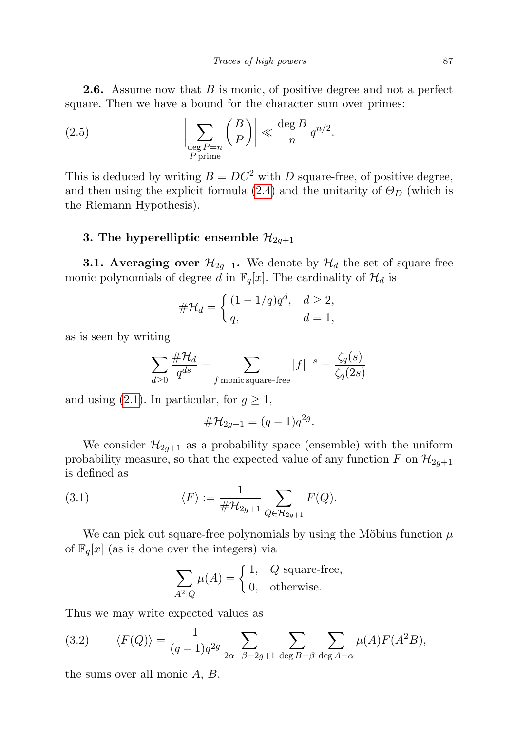**2.6.** Assume now that B is monic, of positive degree and not a perfect square. Then we have a bound for the character sum over primes:

<span id="page-6-1"></span>(2.5) 
$$
\left| \sum_{\substack{\text{deg }P=n\\P\text{ prime}}} \left(\frac{B}{P}\right) \right| \ll \frac{\deg B}{n} q^{n/2}.
$$

This is deduced by writing  $B = DC^2$  with D square-free, of positive degree, and then using the explicit formula [\(2.4\)](#page-5-0) and the unitarity of  $\Theta_D$  (which is the Riemann Hypothesis).

# 3. The hyperelliptic ensemble  $\mathcal{H}_{2g+1}$

**3.1. Averaging over**  $\mathcal{H}_{2q+1}$ . We denote by  $\mathcal{H}_d$  the set of square-free monic polynomials of degree d in  $\mathbb{F}_q[x]$ . The cardinality of  $\mathcal{H}_d$  is

$$
\#\mathcal{H}_d = \begin{cases} (1 - 1/q)q^d, & d \ge 2, \\ q, & d = 1, \end{cases}
$$

as is seen by writing

$$
\sum_{d\geq 0} \frac{\#\mathcal{H}_d}{q^{ds}} = \sum_{f \text{ monic square-free}} |f|^{-s} = \frac{\zeta_q(s)}{\zeta_q(2s)}
$$

and using [\(2.1\)](#page-4-0). In particular, for  $g \geq 1$ ,

$$
\#\mathcal{H}_{2g+1} = (q-1)q^{2g}.
$$

We consider  $\mathcal{H}_{2q+1}$  as a probability space (ensemble) with the uniform probability measure, so that the expected value of any function F on  $\mathcal{H}_{2g+1}$ is defined as

(3.1) 
$$
\langle F \rangle := \frac{1}{\#\mathcal{H}_{2g+1}} \sum_{Q \in \mathcal{H}_{2g+1}} F(Q).
$$

We can pick out square-free polynomials by using the Möbius function  $\mu$ of  $\mathbb{F}_q[x]$  (as is done over the integers) via

$$
\sum_{A^2|Q} \mu(A) = \begin{cases} 1, & Q \text{ square-free,} \\ 0, & \text{otherwise.} \end{cases}
$$

Thus we may write expected values as

<span id="page-6-0"></span>(3.2) 
$$
\langle F(Q) \rangle = \frac{1}{(q-1)q^{2g}} \sum_{2\alpha + \beta = 2g+1} \sum_{\deg B = \beta} \sum_{\deg A = \alpha} \mu(A) F(A^2 B),
$$

the sums over all monic A, B.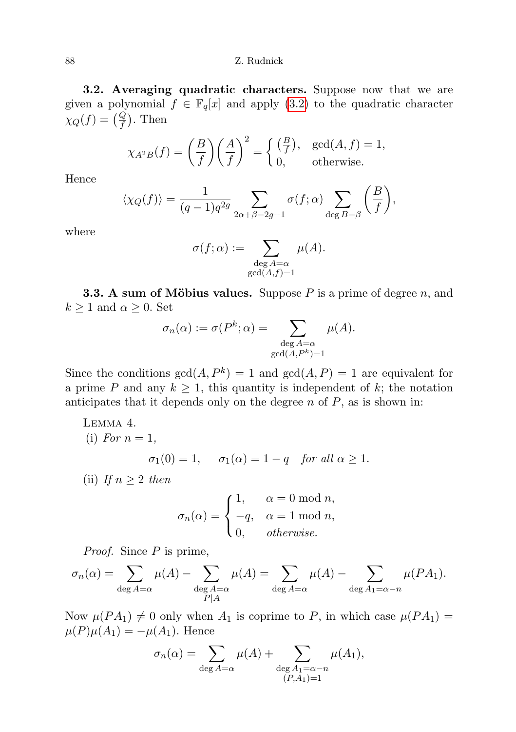3.2. Averaging quadratic characters. Suppose now that we are given a polynomial  $f \in \mathbb{F}_q[x]$  and apply [\(3.2\)](#page-6-0) to the quadratic character  $\chi_Q(f) = \left(\frac{Q}{f}\right)$ . Then

$$
\chi_{A^2B}(f) = \left(\frac{B}{f}\right) \left(\frac{A}{f}\right)^2 = \begin{cases} \left(\frac{B}{f}\right), & \text{gcd}(A, f) = 1, \\ 0, & \text{otherwise.} \end{cases}
$$

Hence

$$
\langle \chi_Q(f) \rangle = \frac{1}{(q-1)q^{2g}} \sum_{2\alpha+\beta=2g+1} \sigma(f;\alpha) \sum_{\deg B=\beta} \left(\frac{B}{f}\right),
$$

where

$$
\sigma(f; \alpha) := \sum_{\substack{\deg A = \alpha \\ \gcd(A, f) = 1}} \mu(A).
$$

**3.3.** A sum of Möbius values. Suppose P is a prime of degree n, and  $k \geq 1$  and  $\alpha \geq 0$ . Set

$$
\sigma_n(\alpha) := \sigma(P^k; \alpha) = \sum_{\substack{\deg A = \alpha \\ \gcd(A, P^k) = 1}} \mu(A).
$$

Since the conditions  $gcd(A, P^k) = 1$  and  $gcd(A, P) = 1$  are equivalent for a prime P and any  $k \geq 1$ , this quantity is independent of k; the notation anticipates that it depends only on the degree  $n$  of  $P$ , as is shown in:

<span id="page-7-0"></span>LEMMA 4.  
\n(i) For 
$$
n = 1
$$
,  
\n
$$
\sigma_1(0) = 1, \quad \sigma_1(\alpha) = 1 - q \quad \text{for all } \alpha \ge 1.
$$
\n
$$
\text{(ii) If } \alpha > 2, \text{ then}
$$

(ii) If  $n \geq 2$  then

$$
\sigma_n(\alpha) = \begin{cases} 1, & \alpha = 0 \text{ mod } n, \\ -q, & \alpha = 1 \text{ mod } n, \\ 0, & otherwise. \end{cases}
$$

*Proof.* Since  $P$  is prime,

$$
\sigma_n(\alpha) = \sum_{\substack{\deg A = \alpha}} \mu(A) - \sum_{\substack{\deg A = \alpha}} \mu(A) = \sum_{\substack{\deg A = \alpha}} \mu(A) - \sum_{\substack{\deg A_1 = \alpha - n}} \mu(PA_1).
$$

Now  $\mu(P A_1) \neq 0$  only when  $A_1$  is coprime to P, in which case  $\mu(P A_1) =$  $\mu(P)\mu(A_1) = -\mu(A_1)$ . Hence

$$
\sigma_n(\alpha) = \sum_{\substack{\deg A = \alpha}} \mu(A) + \sum_{\substack{\deg A_1 = \alpha - n \\ (P, A_1) = 1}} \mu(A_1),
$$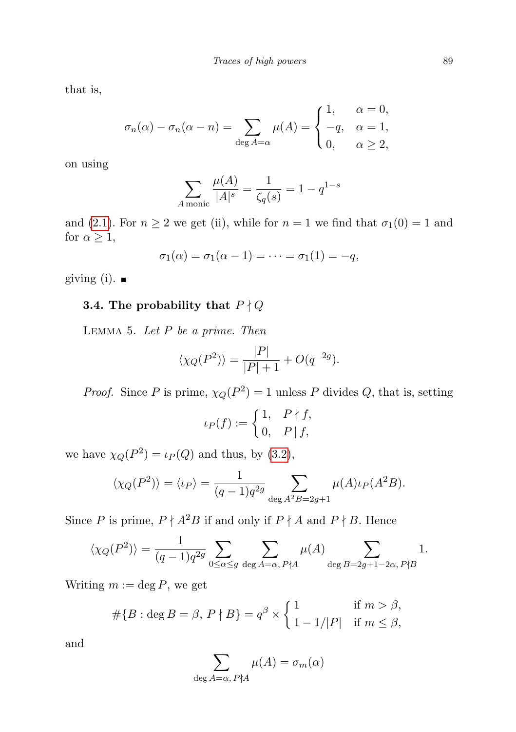that is,

$$
\sigma_n(\alpha) - \sigma_n(\alpha - n) = \sum_{\deg A = \alpha} \mu(A) = \begin{cases} 1, & \alpha = 0, \\ -q, & \alpha = 1, \\ 0, & \alpha \ge 2, \end{cases}
$$

on using

$$
\sum_{A \text{monic}} \frac{\mu(A)}{|A|^s} = \frac{1}{\zeta_q(s)} = 1 - q^{1-s}
$$

and [\(2.1\)](#page-4-0). For  $n \ge 2$  we get (ii), while for  $n = 1$  we find that  $\sigma_1(0) = 1$  and for  $\alpha \geq 1$ ,

$$
\sigma_1(\alpha) = \sigma_1(\alpha - 1) = \cdots = \sigma_1(1) = -q,
$$

giving (i).  $\blacksquare$ 

# <span id="page-8-0"></span>3.4. The probability that  $P \nmid Q$

LEMMA 5. Let  $P$  be a prime. Then

$$
\langle \chi_Q(P^2) \rangle = \frac{|P|}{|P|+1} + O(q^{-2g}).
$$

*Proof.* Since P is prime,  $\chi_Q(P^2) = 1$  unless P divides Q, that is, setting

$$
\iota_P(f) := \begin{cases} 1, & P \nmid f, \\ 0, & P \mid f, \end{cases}
$$

we have  $\chi_Q(P^2) = \iota_P(Q)$  and thus, by [\(3.2\)](#page-6-0),

$$
\langle \chi_Q(P^2) \rangle = \langle \iota_P \rangle = \frac{1}{(q-1)q^{2g}} \sum_{\deg A^2B = 2g+1} \mu(A)\iota_P(A^2B).
$$

Since P is prime,  $P \nmid A^2B$  if and only if  $P \nmid A$  and  $P \nmid B$ . Hence

$$
\langle \chi_Q(P^2) \rangle = \frac{1}{(q-1)q^{2g}} \sum_{0 \le \alpha \le g} \sum_{\deg A = \alpha, P \nmid A} \mu(A) \sum_{\deg B = 2g+1-2\alpha, P \nmid B} 1.
$$

Writing  $m := \deg P$ , we get

$$
#{B : \deg B = \beta, P \nmid B} = q^{\beta} \times \begin{cases} 1 & \text{if } m > \beta, \\ 1 - 1/|P| & \text{if } m \le \beta, \end{cases}
$$

and

$$
\sum_{\deg A=\alpha,\,P\nmid A}\mu(A)=\sigma_m(\alpha)
$$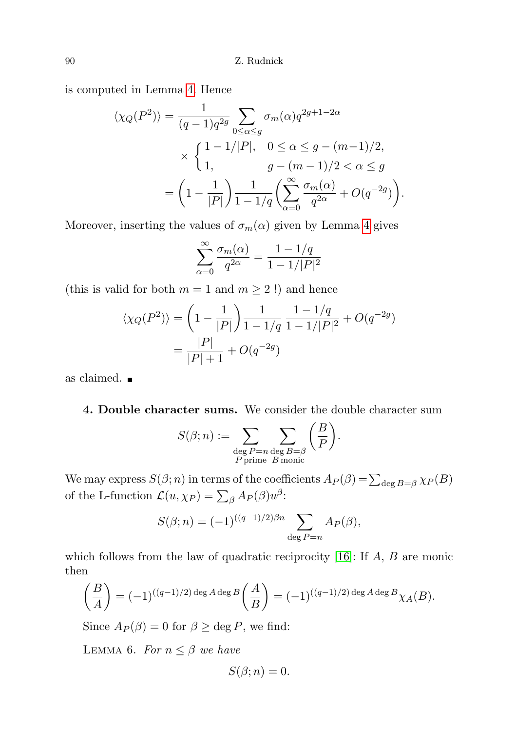is computed in Lemma [4.](#page-7-0) Hence

$$
\langle \chi_Q(P^2) \rangle = \frac{1}{(q-1)q^{2g}} \sum_{0 \le \alpha \le g} \sigma_m(\alpha) q^{2g+1-2\alpha}
$$
  
 
$$
\times \begin{cases} 1 - 1/|P|, & 0 \le \alpha \le g - (m-1)/2, \\ 1, & g - (m-1)/2 < \alpha \le g \end{cases}
$$
  
= 
$$
\left(1 - \frac{1}{|P|}\right) \frac{1}{1 - 1/q} \left(\sum_{\alpha=0}^{\infty} \frac{\sigma_m(\alpha)}{q^{2\alpha}} + O(q^{-2g})\right).
$$

Moreover, inserting the values of  $\sigma_m(\alpha)$  given by Lemma [4](#page-7-0) gives

$$
\sum_{\alpha=0}^{\infty} \frac{\sigma_m(\alpha)}{q^{2\alpha}} = \frac{1 - 1/q}{1 - 1/|P|^2}
$$

(this is valid for both  $m = 1$  and  $m \ge 2$ !) and hence

$$
\langle \chi_Q(P^2) \rangle = \left( 1 - \frac{1}{|P|} \right) \frac{1}{1 - 1/q} \frac{1 - 1/q}{1 - 1/|P|^2} + O(q^{-2g})
$$

$$
= \frac{|P|}{|P| + 1} + O(q^{-2g})
$$

as claimed.

4. Double character sums. We consider the double character sum

$$
S(\beta; n) := \sum_{\substack{\text{deg }P=n\\\text{P prime }B\text{ monic}}}\sum_{\substack{B=\beta\\B\text{ monic}}}\left(\frac{B}{P}\right).
$$

We may express  $S(\beta; n)$  in terms of the coefficients  $A_P(\beta) = \sum_{\text{deg }B = \beta} \chi_P(B)$ of the L-function  $\mathcal{L}(u, \chi_P) = \sum_{\beta} A_P(\beta) u^{\beta}$ :

$$
S(\beta; n) = (-1)^{((q-1)/2)\beta n} \sum_{\deg P = n} A_P(\beta),
$$

which follows from the law of quadratic reciprocity  $[16]$ : If  $A, B$  are monic then

$$
\left(\frac{B}{A}\right) = (-1)^{((q-1)/2) \deg A \deg B} \left(\frac{A}{B}\right) = (-1)^{((q-1)/2) \deg A \deg B} \chi_A(B).
$$

Since  $A_P(\beta) = 0$  for  $\beta \geq \text{deg } P$ , we find:

<span id="page-9-0"></span>LEMMA 6. For  $n \leq \beta$  we have

$$
S(\beta;n)=0.
$$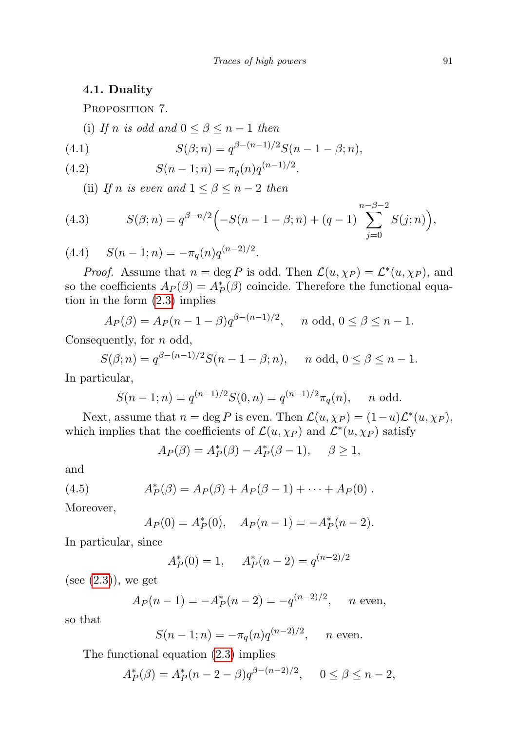### 4.1. Duality

PROPOSITION 7.

(i) If n is odd and  $0 \leq \beta \leq n-1$  then

<span id="page-10-1"></span>(4.1) 
$$
S(\beta; n) = q^{\beta - (n-1)/2} S(n-1-\beta; n),
$$

(4.2) 
$$
S(n-1;n) = \pi_q(n)q^{(n-1)/2}.
$$

(ii) If n is even and  $1 \leq \beta \leq n-2$  then

<span id="page-10-2"></span>(4.3) 
$$
S(\beta;n) = q^{\beta - n/2} \Big( -S(n-1-\beta;n) + (q-1) \sum_{j=0}^{n-\beta-2} S(j;n) \Big),
$$

<span id="page-10-3"></span>(4.4)  $S(n-1;n) = -\pi_q(n)q^{(n-2)/2}$ .

*Proof.* Assume that  $n = \deg P$  is odd. Then  $\mathcal{L}(u, \chi_P) = \mathcal{L}^*(u, \chi_P)$ , and so the coefficients  $A_P(\beta) = A_P^*(\beta)$  coincide. Therefore the functional equation in the form [\(2.3\)](#page-5-1) implies

$$
A_P(\beta) = A_P(n-1-\beta)q^{\beta-(n-1)/2}, \quad n \text{ odd}, 0 \le \beta \le n-1.
$$

Consequently, for n odd,

$$
S(\beta; n) = q^{\beta - (n-1)/2} S(n-1-\beta; n), \quad n \text{ odd}, 0 \le \beta \le n-1.
$$

In particular,

$$
S(n-1; n) = q^{(n-1)/2} S(0, n) = q^{(n-1)/2} \pi_q(n), \quad n \text{ odd.}
$$

Next, assume that  $n = \deg P$  is even. Then  $\mathcal{L}(u, \chi_P) = (1 - u)\mathcal{L}^*(u, \chi_P)$ , which implies that the coefficients of  $\mathcal{L}(u, \chi_P)$  and  $\mathcal{L}^*(u, \chi_P)$  satisfy

<span id="page-10-0"></span>
$$
A_P(\beta) = A_P^*(\beta) - A_P^*(\beta - 1), \quad \beta \ge 1,
$$

and

(4.5) 
$$
A_P^*(\beta) = A_P(\beta) + A_P(\beta - 1) + \cdots + A_P(0) .
$$

Moreover,

$$
A_P(0) = A_P^*(0)
$$
,  $A_P(n-1) = -A_P^*(n-2)$ .

In particular, since

$$
A_P^*(0) = 1
$$
,  $A_P^*(n-2) = q^{(n-2)/2}$ 

(see  $(2.3)$ ), we get

$$
A_P(n-1) = -A_P^*(n-2) = -q^{(n-2)/2}, \quad n \text{ even},
$$

so that

$$
S(n-1; n) = -\pi_q(n)q^{(n-2)/2}, \quad n \text{ even.}
$$

The functional equation [\(2.3\)](#page-5-1) implies

$$
A_P^*(\beta) = A_P^*(n-2-\beta)q^{\beta-(n-2)/2}, \quad 0 \le \beta \le n-2,
$$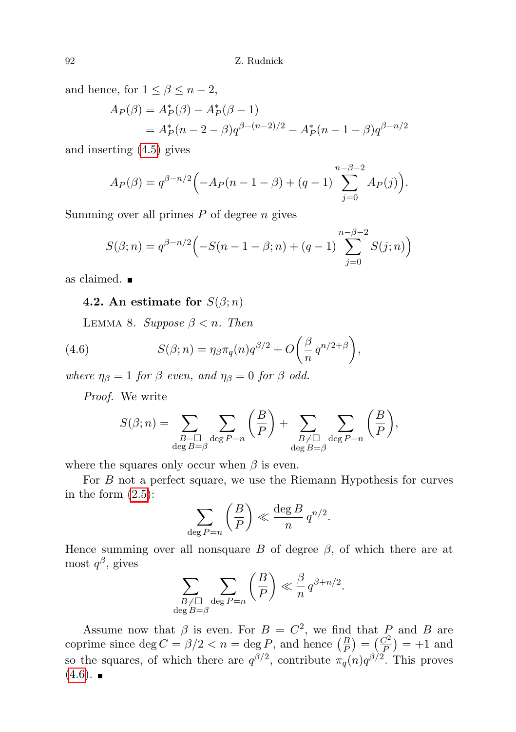and hence, for  $1 \leq \beta \leq n-2$ ,

$$
A_P(\beta) = A_P^*(\beta) - A_P^*(\beta - 1)
$$
  
=  $A_P^*(n - 2 - \beta)q^{\beta - (n-2)/2} - A_P^*(n - 1 - \beta)q^{\beta - n/2}$ 

and inserting [\(4.5\)](#page-10-0) gives

$$
A_P(\beta) = q^{\beta - n/2} \Big( -A_P(n - 1 - \beta) + (q - 1) \sum_{j=0}^{n-\beta - 2} A_P(j) \Big).
$$

Summing over all primes  $P$  of degree  $n$  gives

$$
S(\beta; n) = q^{\beta - n/2} \left( -S(n - 1 - \beta; n) + (q - 1) \sum_{j=0}^{n-\beta - 2} S(j; n) \right)
$$

as claimed.

### 4.2. An estimate for  $S(\beta; n)$

<span id="page-11-1"></span>LEMMA 8. Suppose  $\beta < n$ . Then

(4.6) 
$$
S(\beta;n) = \eta_{\beta} \pi_q(n) q^{\beta/2} + O\left(\frac{\beta}{n} q^{n/2+\beta}\right),
$$

where  $\eta_{\beta} = 1$  for  $\beta$  even, and  $\eta_{\beta} = 0$  for  $\beta$  odd.

Proof. We write

<span id="page-11-0"></span>
$$
S(\beta; n) = \sum_{\substack{B=\square \\ \deg B=\beta}} \sum_{\deg P=n} \left(\frac{B}{P}\right) + \sum_{\substack{B \neq \square \\ \deg B=\beta}} \sum_{\deg P=n} \left(\frac{B}{P}\right),
$$

where the squares only occur when  $\beta$  is even.

For B not a perfect square, we use the Riemann Hypothesis for curves in the form  $(2.5)$ :

$$
\sum_{\deg P=n} \left(\frac{B}{P}\right) \ll \frac{\deg B}{n} q^{n/2}.
$$

Hence summing over all nonsquare B of degree  $\beta$ , of which there are at most  $q^{\beta}$ , gives  $\overline{\phantom{a}}$ 

$$
\sum_{\substack{B \neq \Box \\ \deg B = \beta}} \sum_{\deg P = n} \left( \frac{B}{P} \right) \ll \frac{\beta}{n} q^{\beta + n/2}.
$$

Assume now that  $\beta$  is even. For  $B = C^2$ , we find that P and B are coprime since  $\deg C = \beta/2 < n = \deg P$ , and hence  $\left(\frac{B}{P}\right) = \left(\frac{C^2}{P}\right)$  $\left(\frac{C^2}{P}\right) = +1$  and so the squares, of which there are  $q^{\beta/2}$ , contribute  $\pi_q(n)q^{\beta/2}$ . This proves  $(4.6)$ .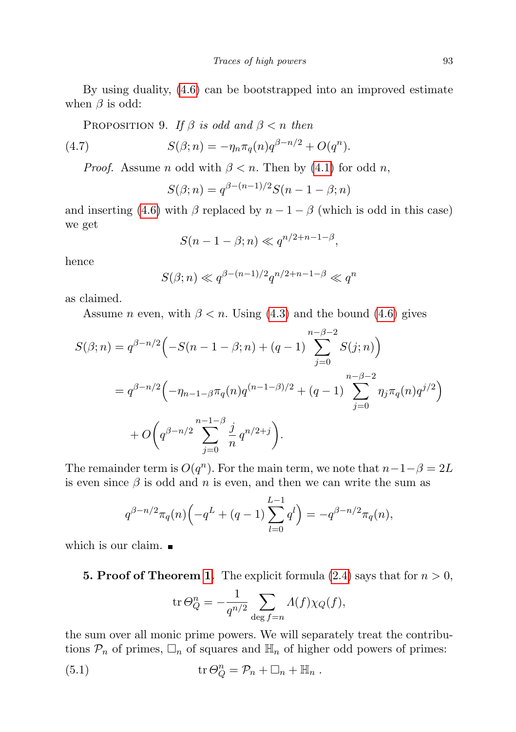By using duality, [\(4.6\)](#page-11-0) can be bootstrapped into an improved estimate when  $\beta$  is odd:

PROPOSITION 9. If  $\beta$  is odd and  $\beta < n$  then

(4.7) 
$$
S(\beta; n) = -\eta_n \pi_q(n) q^{\beta - n/2} + O(q^n).
$$

*Proof.* Assume *n* odd with  $\beta < n$ . Then by [\(4.1\)](#page-10-1) for odd *n*,

<span id="page-12-0"></span>
$$
S(\beta; n) = q^{\beta - (n-1)/2} S(n - 1 - \beta; n)
$$

and inserting [\(4.6\)](#page-11-0) with  $\beta$  replaced by  $n - 1 - \beta$  (which is odd in this case) we get

$$
S(n-1-\beta; n) \ll q^{n/2+n-1-\beta},
$$

hence

$$
S(\beta; n) \ll q^{\beta - (n-1)/2} q^{n/2 + n - 1 - \beta} \ll q^n
$$

as claimed.

Assume *n* even, with  $\beta < n$ . Using [\(4.3\)](#page-10-2) and the bound [\(4.6\)](#page-11-0) gives

$$
S(\beta; n) = q^{\beta - n/2} \Big( -S(n - 1 - \beta; n) + (q - 1) \sum_{j=0}^{n-\beta-2} S(j; n) \Big)
$$
  
=  $q^{\beta - n/2} \Big( -\eta_{n-1-\beta} \pi_q(n) q^{(n-1-\beta)/2} + (q - 1) \sum_{j=0}^{n-\beta-2} \eta_j \pi_q(n) q^{j/2} \Big)$   
+  $O \Big( q^{\beta - n/2} \sum_{j=0}^{n-1-\beta} \frac{j}{n} q^{n/2+j} \Big).$ 

The remainder term is  $O(q^n)$ . For the main term, we note that  $n-1-\beta=2L$ is even since  $\beta$  is odd and n is even, and then we can write the sum as

$$
q^{\beta - n/2} \pi_q(n) \left( -q^L + (q-1) \sum_{l=0}^{L-1} q^l \right) = -q^{\beta - n/2} \pi_q(n),
$$

which is our claim.

**5. Proof of Theorem [1.](#page-2-0)** The explicit formula [\(2.4\)](#page-5-0) says that for  $n > 0$ ,

$$
\operatorname{tr} \Theta_Q^n = -\frac{1}{q^{n/2}} \sum_{\deg f = n} \Lambda(f) \chi_Q(f),
$$

the sum over all monic prime powers. We will separately treat the contributions  $\mathcal{P}_n$  of primes,  $\Box_n$  of squares and  $\mathbb{H}_n$  of higher odd powers of primes:

(5.1) 
$$
\operatorname{tr} \Theta_Q^n = \mathcal{P}_n + \Box_n + \mathbb{H}_n .
$$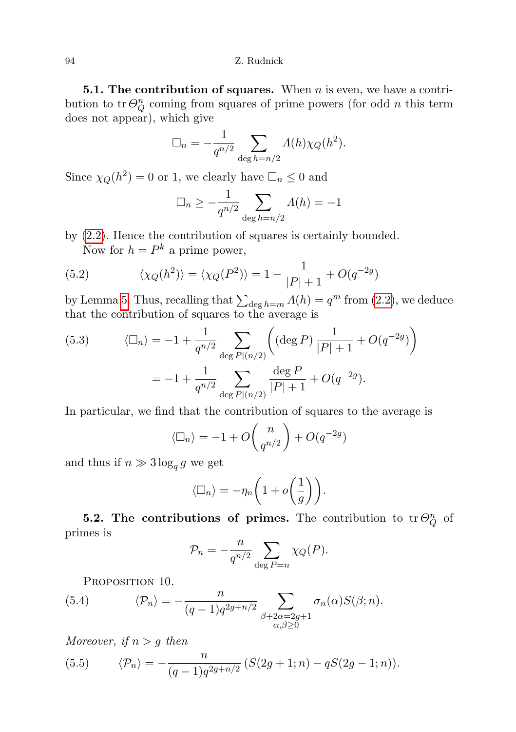**5.1. The contribution of squares.** When  $n$  is even, we have a contribution to tr $\Theta_Q^n$  coming from squares of prime powers (for odd n this term does not appear), which give

$$
\Box_n = -\frac{1}{q^{n/2}} \sum_{\deg h = n/2} \Lambda(h) \chi_Q(h^2).
$$

Since  $\chi_Q(h^2) = 0$  or 1, we clearly have  $\Box_n \leq 0$  and

$$
\Box_n \ge -\frac{1}{q^{n/2}} \sum_{\deg h = n/2} \Lambda(h) = -1
$$

by [\(2.2\)](#page-4-1). Hence the contribution of squares is certainly bounded.

Now for  $h = P^k$  a prime power,

(5.2) 
$$
\langle \chi_Q(h^2) \rangle = \langle \chi_Q(P^2) \rangle = 1 - \frac{1}{|P|+1} + O(q^{-2g})
$$

by Lemma [5.](#page-8-0) Thus, recalling that  $\sum_{\deg h=m} \Lambda(h) = q^m$  from [\(2.2\)](#page-4-1), we deduce that the contribution of squares to the average is

(5.3) 
$$
\langle \Box_n \rangle = -1 + \frac{1}{q^{n/2}} \sum_{\deg P|(n/2)} \left( (\deg P) \frac{1}{|P|+1} + O(q^{-2g}) \right)
$$

$$
= -1 + \frac{1}{q^{n/2}} \sum_{\deg P|(n/2)} \frac{\deg P}{|P|+1} + O(q^{-2g}).
$$

In particular, we find that the contribution of squares to the average is

$$
\langle \Box_n \rangle = -1 + O\left(\frac{n}{q^{n/2}}\right) + O(q^{-2g})
$$

and thus if  $n \gg 3 \log_q g$  we get

$$
\langle \Box_n \rangle = -\eta_n \bigg( 1 + o\bigg(\frac{1}{g}\bigg) \bigg).
$$

**5.2.** The contributions of primes. The contribution to  $tr \Theta_Q^n$  of primes is

$$
\mathcal{P}_n = -\frac{n}{q^{n/2}} \sum_{\deg P = n} \chi_Q(P).
$$

<span id="page-13-0"></span>PROPOSITION 10.

(5.4) 
$$
\langle \mathcal{P}_n \rangle = -\frac{n}{(q-1)q^{2g+n/2}} \sum_{\substack{\beta+2\alpha=2g+1 \\ \alpha,\beta \ge 0}} \sigma_n(\alpha) S(\beta; n).
$$

Moreover, if  $n > g$  then

<span id="page-13-1"></span>(5.5) 
$$
\langle \mathcal{P}_n \rangle = -\frac{n}{(q-1)q^{2g+n/2}} \left( S(2g+1;n) - qS(2g-1;n) \right).
$$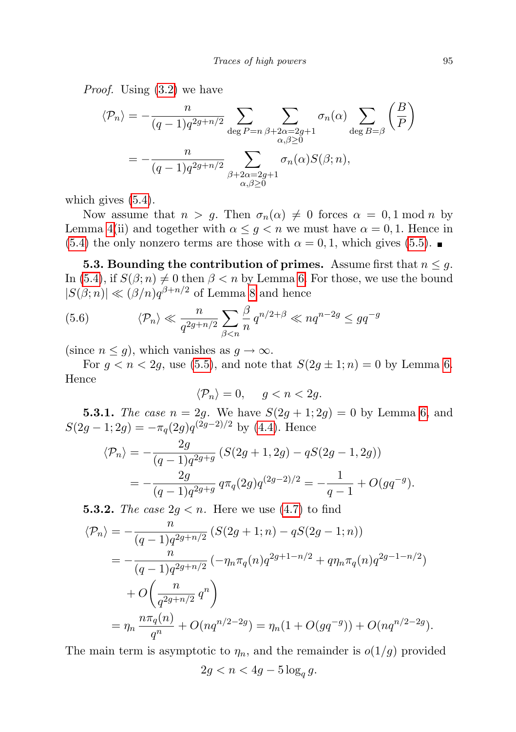Proof. Using [\(3.2\)](#page-6-0) we have

$$
\langle \mathcal{P}_n \rangle = -\frac{n}{(q-1)q^{2g+n/2}} \sum_{\substack{\deg P = n}} \sum_{\substack{\beta + 2\alpha = 2g+1 \\ \alpha, \beta \ge 0}} \sigma_n(\alpha) \sum_{\substack{\deg P = \beta}} \left(\frac{B}{P}\right)
$$

$$
= -\frac{n}{(q-1)q^{2g+n/2}} \sum_{\substack{\beta + 2\alpha = 2g+1 \\ \alpha, \beta \ge 0}} \sigma_n(\alpha) S(\beta; n),
$$

which gives [\(5.4\)](#page-13-0).

Now assume that  $n > g$ . Then  $\sigma_n(\alpha) \neq 0$  forces  $\alpha = 0, 1 \mod n$  by Lemma [4\(](#page-7-0)ii) and together with  $\alpha \leq g \leq n$  we must have  $\alpha = 0, 1$ . Hence in [\(5.4\)](#page-13-0) the only nonzero terms are those with  $\alpha = 0, 1$ , which gives [\(5.5\)](#page-13-1).

**5.3. Bounding the contribution of primes.** Assume first that  $n \leq g$ . In [\(5.4\)](#page-13-0), if  $S(\beta; n) \neq 0$  then  $\beta < n$  by Lemma [6.](#page-9-0) For those, we use the bound  $|S(\beta; n)| \ll (\beta/n)q^{\beta+n/2}$  of Lemma [8](#page-11-1) and hence

(5.6) 
$$
\langle \mathcal{P}_n \rangle \ll \frac{n}{q^{2g+n/2}} \sum_{\beta < n} \frac{\beta}{n} q^{n/2+\beta} \ll nq^{n-2g} \leq gq^{-g}
$$

(since  $n \leq g$ ), which vanishes as  $g \to \infty$ .

For  $g < n < 2g$ , use [\(5.5\)](#page-13-1), and note that  $S(2g \pm 1; n) = 0$  by Lemma [6.](#page-9-0) Hence

$$
\langle \mathcal{P}_n \rangle = 0, \quad g < n < 2g.
$$

**5.3.1.** The case  $n = 2g$ . We have  $S(2g + 1; 2g) = 0$  by Lemma [6,](#page-9-0) and  $S(2g-1;2g) = -\pi_q(2g)q^{(2g-2)/2}$  by [\(4.4\)](#page-10-3). Hence

$$
\langle \mathcal{P}_n \rangle = -\frac{2g}{(q-1)q^{2g+g}} \left( S(2g+1, 2g) - qS(2g-1, 2g) \right)
$$
  
= 
$$
-\frac{2g}{(q-1)q^{2g+g}} q \pi_q(2g) q^{(2g-2)/2} = -\frac{1}{q-1} + O(gq^{-g}).
$$

**5.3.2.** The case  $2g < n$ . Here we use  $(4.7)$  to find

$$
\langle \mathcal{P}_n \rangle = -\frac{n}{(q-1)q^{2g+n/2}} \left( S(2g+1;n) - qS(2g-1;n) \right)
$$
  
= 
$$
-\frac{n}{(q-1)q^{2g+n/2}} \left( -\eta_n \pi_q(n) q^{2g+1-n/2} + q\eta_n \pi_q(n) q^{2g-1-n/2} \right)
$$
  
+ 
$$
O\left(\frac{n}{q^{2g+n/2}} q^n \right)
$$
  
= 
$$
\eta_n \frac{n\pi_q(n)}{q^n} + O(nq^{n/2-2g}) = \eta_n(1 + O(gq^{-g})) + O(nq^{n/2-2g}).
$$

The main term is asymptotic to  $\eta_n$ , and the remainder is  $o(1/g)$  provided

$$
2g < n < 4g - 5\log_q g.
$$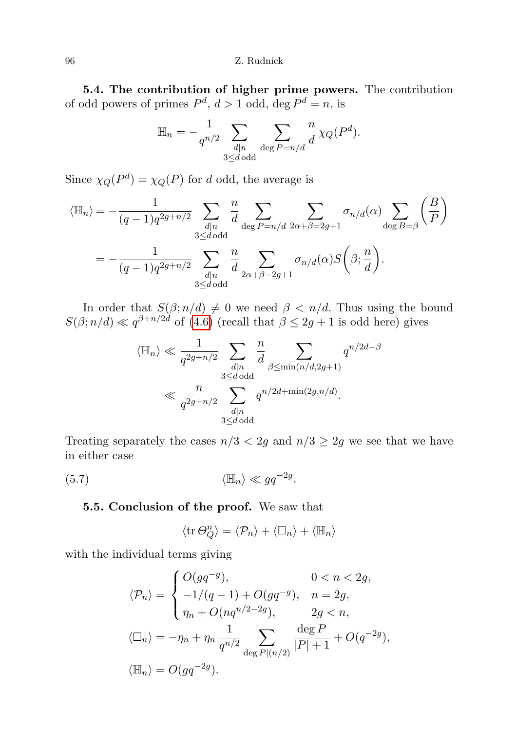5.4. The contribution of higher prime powers. The contribution of odd powers of primes  $P^d$ ,  $d > 1$  odd, deg  $P^d = n$ , is

$$
\mathbb{H}_n = -\frac{1}{q^{n/2}} \sum_{\substack{d|n \\ 3 \le d \text{ odd}}} \sum_{\deg P = n/d} \frac{n}{d} \chi_Q(P^d).
$$

Since  $\chi_Q(P^d) = \chi_Q(P)$  for d odd, the average is

$$
\langle \mathbb{H}_n \rangle = -\frac{1}{(q-1)q^{2g+n/2}} \sum_{\substack{d|n \\ 3 \le d \text{ odd}}} \frac{n}{d} \sum_{\deg P=n/d} \sum_{2\alpha+\beta=2g+1} \sigma_{n/d}(\alpha) \sum_{\deg B=\beta} \left(\frac{B}{P}\right)
$$

$$
= -\frac{1}{(q-1)q^{2g+n/2}} \sum_{\substack{d|n \\ 3 \le d \text{ odd}}} \frac{n}{d} \sum_{2\alpha+\beta=2g+1} \sigma_{n/d}(\alpha) S\left(\beta; \frac{n}{d}\right).
$$

In order that  $S(\beta; n/d) \neq 0$  we need  $\beta < n/d$ . Thus using the bound  $S(\beta; n/d) \ll q^{\beta+n/2d}$  of [\(4.6\)](#page-11-0) (recall that  $\beta \leq 2g+1$  is odd here) gives

$$
\langle \mathbb{H}_n \rangle \ll \frac{1}{q^{2g+n/2}} \sum_{\substack{d|n \\ 3 \le d \text{ odd}}} \frac{n}{d} \sum_{\substack{\beta \le \min(n/d, 2g+1) \\ d \ge d}} q^{n/2d + \beta}
$$

$$
\ll \frac{n}{q^{2g+n/2}} \sum_{\substack{d|n \\ 3 \le d \text{ odd}}} q^{n/2d + \min(2g, n/d)}.
$$

Treating separately the cases  $n/3 < 2g$  and  $n/3 \ge 2g$  we see that we have in either case

$$
\langle \mathbb{H}_n \rangle \ll g q^{-2g}.
$$

### 5.5. Conclusion of the proof. We saw that

$$
\langle \operatorname{tr} \Theta_Q^n \rangle = \langle \mathcal{P}_n \rangle + \langle \Box_n \rangle + \langle \mathbb{H}_n \rangle
$$

with the individual terms giving

$$
\langle \mathcal{P}_n \rangle = \begin{cases} O(gq^{-g}), & 0 < n < 2g, \\ -1/(q-1) + O(gq^{-g}), & n = 2g, \\ \eta_n + O(nq^{n/2-2g}), & 2g < n, \\ (\Box_n) = -\eta_n + \eta_n \frac{1}{q^{n/2}} \sum_{\deg P|(n/2)} \frac{\deg P}{|P|+1} + O(q^{-2g}), \\ \langle \mathbb{H}_n \rangle = O(gq^{-2g}). \end{cases}
$$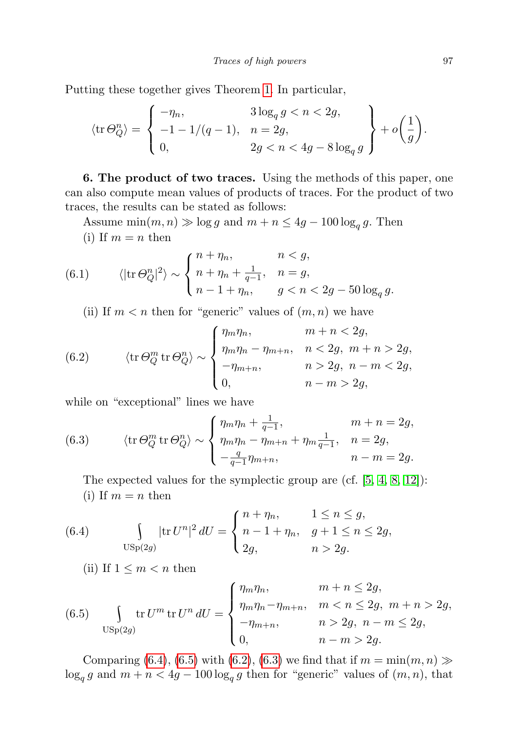Putting these together gives Theorem [1.](#page-2-0) In particular,

$$
\langle \operatorname{tr} \Theta_Q^n \rangle = \begin{cases} -\eta_n, & 3\log_q g < n < 2g, \\ -1 - 1/(q - 1), & n = 2g, \\ 0, & 2g < n < 4g - 8\log_q g \end{cases} + o\left(\frac{1}{g}\right).
$$

<span id="page-16-0"></span>6. The product of two traces. Using the methods of this paper, one can also compute mean values of products of traces. For the product of two traces, the results can be stated as follows:

Assume  $\min(m, n) \gg \log g$  and  $m + n \leq 4g - 100 \log_q g$ . Then (i) If  $m = n$  then

(6.1) 
$$
\langle |\text{tr}\,\Theta_Q^n|^2 \rangle \sim \begin{cases} n + \eta_n, & n < g, \\ n + \eta_n + \frac{1}{q-1}, & n = g, \\ n - 1 + \eta_n, & g < n < 2g - 50 \log_q g. \end{cases}
$$

<span id="page-16-3"></span>(ii) If  $m < n$  then for "generic" values of  $(m, n)$  we have

(6.2) 
$$
\langle \operatorname{tr} \Theta_Q^m \operatorname{tr} \Theta_Q^n \rangle \sim \begin{cases} \eta_m \eta_n, & m+n < 2g, \\ \eta_m \eta_n - \eta_{m+n}, & n < 2g, m+n > 2g, \\ -\eta_{m+n}, & n > 2g, n-m < 2g, \\ 0, & n-m > 2g, \end{cases}
$$

while on "exceptional" lines we have

<span id="page-16-4"></span>(6.3) 
$$
\langle \text{tr}\,\Theta_Q^m \text{tr}\,\Theta_Q^n \rangle \sim \begin{cases} \eta_m \eta_n + \frac{1}{q-1}, & m+n=2g, \\ \eta_m \eta_n - \eta_{m+n} + \eta_m \frac{1}{q-1}, & n=2g, \\ -\frac{q}{q-1} \eta_{m+n}, & n-m=2g. \end{cases}
$$

The expected values for the symplectic group are (cf. [\[5,](#page-17-5) [4,](#page-17-10) [8,](#page-17-11) [12\]](#page-17-12)): (i) If  $m = n$  then

<span id="page-16-1"></span>(6.4) 
$$
\int_{\text{USp}(2g)} |\text{tr } U^n|^2 dU = \begin{cases} n + \eta_n, & 1 \le n \le g, \\ n - 1 + \eta_n, & g + 1 \le n \le 2g, \\ 2g, & n > 2g. \end{cases}
$$

(ii) If  $1 \leq m < n$  then

<span id="page-16-2"></span>(6.5) 
$$
\int_{\text{USp}(2g)} \text{tr } U^m \text{tr } U^n \, dU = \begin{cases} \eta_m \eta_n, & m+n \leq 2g, \\ \eta_m \eta_n - \eta_{m+n}, & m < n \leq 2g, \ m+n > 2g, \\ -\eta_{m+n}, & n > 2g, \ n-m \leq 2g, \\ 0, & n-m > 2g. \end{cases}
$$

Comparing [\(6.4\)](#page-16-1), [\(6.5\)](#page-16-2) with [\(6.2\)](#page-16-3), [\(6.3\)](#page-16-4) we find that if  $m = \min(m, n) \gg$  $\log_q g$  and  $m + n < 4g - 100 \log_q g$  then for "generic" values of  $(m, n)$ , that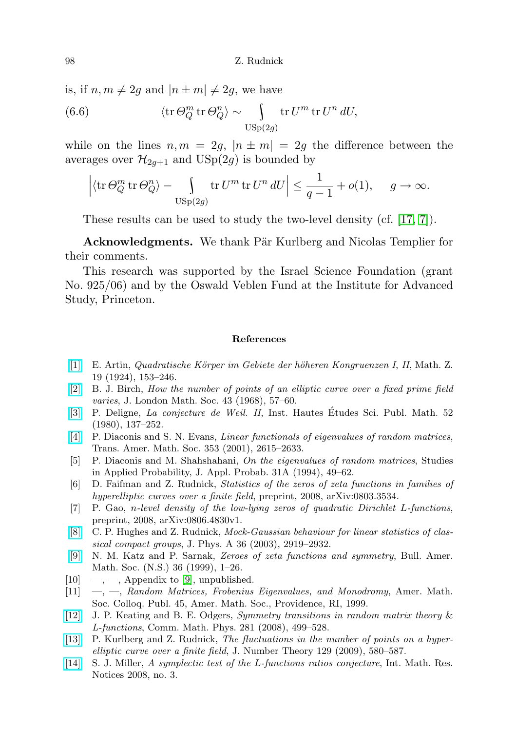is, if  $n, m \neq 2g$  and  $|n \pm m| \neq 2g$ , we have

(6.6) 
$$
\langle \text{tr}\,\Theta_Q^m \text{ tr}\,\Theta_Q^n \rangle \sim \int_{\text{USp}(2g)} \text{tr}\, U^m \text{ tr}\, U^n \, dU,
$$

while on the lines  $n, m = 2q, |n \pm m| = 2q$  the difference between the averages over  $\mathcal{H}_{2q+1}$  and  $\text{USp}(2g)$  is bounded by

$$
\left|\left\langle\mathrm{tr}\,\Theta_Q^m\,\mathrm{tr}\,\Theta_Q^n\right\rangle-\int\limits_{\mathrm{USp}(2g)}\mathrm{tr}\,U^m\,\mathrm{tr}\,U^n\,dU\right|\leq \frac{1}{q-1}+o(1),\quad \ g\to\infty.
$$

These results can be used to study the two-level density (cf. [\[17,](#page-18-4) [7\]](#page-17-13)).

Acknowledgments. We thank Pär Kurlberg and Nicolas Templier for their comments.

This research was supported by the Israel Science Foundation (grant No. 925/06) and by the Oswald Veblen Fund at the Institute for Advanced Study, Princeton.

#### References

- <span id="page-17-9"></span>[\[1\]](http://dx.doi.org/10.1007/BF01181074) E. Artin, Quadratische K¨orper im Gebiete der h¨oheren Kongruenzen I, II, Math. Z. 19 (1924), 153–246.
- <span id="page-17-1"></span>[\[2\]](http://dx.doi.org/10.1112/jlms/s1-43.1.57) B. J. Birch, How the number of points of an elliptic curve over a fixed prime field varies, J. London Math. Soc. 43 (1968), 57–60.
- <span id="page-17-2"></span>[\[3\]](http://dx.doi.org/10.1007/BF02684780) P. Deligne, La conjecture de Weil. II, Inst. Hautes Etudes Sci. Publ. Math. 52 ´ (1980), 137–252.
- <span id="page-17-10"></span>[\[4\]](http://dx.doi.org/10.1090/S0002-9947-01-02800-8) P. Diaconis and S. N. Evans, Linear functionals of eigenvalues of random matrices, Trans. Amer. Math. Soc. 353 (2001), 2615–2633.
- <span id="page-17-5"></span>[5] P. Diaconis and M. Shahshahani, On the eigenvalues of random matrices, Studies in Applied Probability, J. Appl. Probab. 31A (1994), 49–62.
- <span id="page-17-4"></span>[6] D. Faifman and Z. Rudnick, Statistics of the zeros of zeta functions in families of hyperelliptic curves over a finite field, preprint, 2008, arXiv:0803.3534.
- <span id="page-17-13"></span>[7] P. Gao, n-level density of the low-lying zeros of quadratic Dirichlet L-functions, preprint, 2008, arXiv:0806.4830v1.
- <span id="page-17-11"></span>[\[8\]](http://dx.doi.org/10.1088/0305-4470/36/12/304) C. P. Hughes and Z. Rudnick, Mock-Gaussian behaviour for linear statistics of classical compact groups, J. Phys. A 36 (2003), 2919–2932.
- <span id="page-17-7"></span>[\[9\]](http://dx.doi.org/10.1090/S0273-0979-99-00766-1) N. M. Katz and P. Sarnak, Zeroes of zeta functions and symmetry, Bull. Amer. Math. Soc. (N.S.) 36 (1999), 1–26.
- <span id="page-17-6"></span> $[10] \quad -,-$ , Appendix to  $[9]$ , unpublished.
- <span id="page-17-0"></span> $[11] \quad , \quad -$ , Random Matrices, Frobenius Eigenvalues, and Monodromy, Amer. Math. Soc. Colloq. Publ. 45, Amer. Math. Soc., Providence, RI, 1999.
- <span id="page-17-12"></span>[\[12\]](http://dx.doi.org/10.1007/s00220-008-0483-8) J. P. Keating and B. E. Odgers, Symmetry transitions in random matrix theory & L-functions, Comm. Math. Phys. 281 (2008), 499–528.
- <span id="page-17-3"></span>[\[13\]](http://dx.doi.org/10.1016/j.jnt.2008.09.004) P. Kurlberg and Z. Rudnick, The fluctuations in the number of points on a hyperelliptic curve over a finite field, J. Number Theory 129 (2009), 580–587.
- <span id="page-17-8"></span>[\[14\]](http://dx.doi.org/10.1093/imrn/rnm146) S. J. Miller, A symplectic test of the L-functions ratios conjecture, Int. Math. Res. Notices 2008, no. 3.